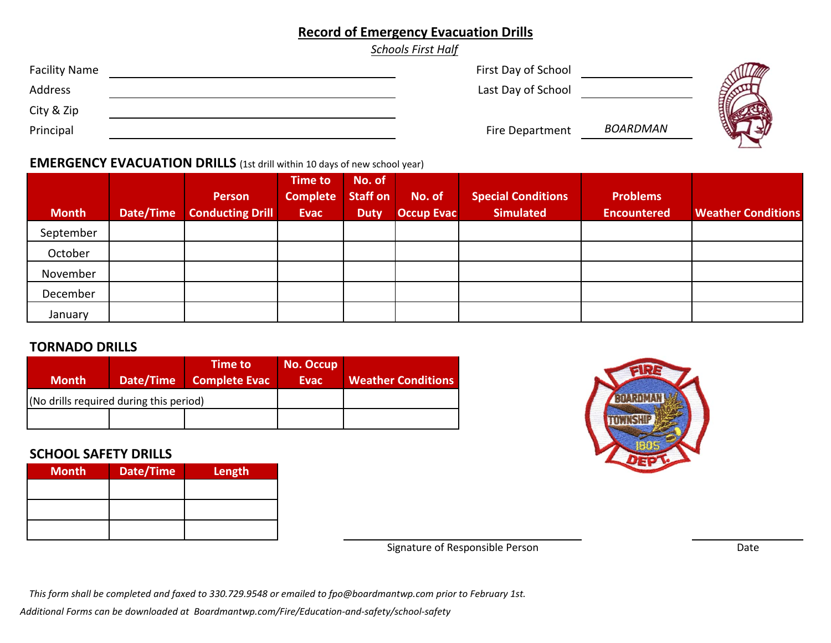# **Record of Emergency Evacuation Drills**

*Schools First Half*

| <b>Facility Name</b> | First Day of School |          |  |
|----------------------|---------------------|----------|--|
| Address              | Last Day of School  |          |  |
| City & Zip           |                     |          |  |
| Principal            | Fire Department     | BOARDMAN |  |

#### **EMERGENCY EVACUATION DRILLS** (1st drill within <sup>10</sup> days of new school year)

| <b>Month</b> | Date/Time | <b>Person</b><br><b>Conducting Drill</b> | <b>Time to</b><br><b>Complete</b><br><b>Evac</b> | No. of<br><b>Staff on</b><br><b>Duty</b> | No. of<br><b>Occup Evac</b> | <b>Special Conditions</b><br><b>Simulated</b> | <b>Problems</b><br><b>Encountered</b> | <b>Weather Conditions</b> |
|--------------|-----------|------------------------------------------|--------------------------------------------------|------------------------------------------|-----------------------------|-----------------------------------------------|---------------------------------------|---------------------------|
| September    |           |                                          |                                                  |                                          |                             |                                               |                                       |                           |
| October      |           |                                          |                                                  |                                          |                             |                                               |                                       |                           |
| November     |           |                                          |                                                  |                                          |                             |                                               |                                       |                           |
| December     |           |                                          |                                                  |                                          |                             |                                               |                                       |                           |
| January      |           |                                          |                                                  |                                          |                             |                                               |                                       |                           |

### **TORNADO DRILLS**

| <b>Month</b>                            | Date/Time | <b>Time to</b><br><b>Complete Evac</b> | <b>No. Occup</b><br>Evac | <b>Weather Conditions</b> |
|-----------------------------------------|-----------|----------------------------------------|--------------------------|---------------------------|
| (No drills required during this period) |           |                                        |                          |                           |
|                                         |           |                                        |                          |                           |

### **SCHOOL SAFETY DRILLS**

| <b>Month</b> | Date/Time | Length |
|--------------|-----------|--------|
|              |           |        |
|              |           |        |
|              |           |        |



Signature of Responsible Person

Date

This form shall be completed and faxed to 330.729.9548 or emailed to fpo@boardmantwp.com prior to February 1st.

*Additional Forms can be downloaded at Boardmantwp.com/Fire/Education‐and‐safety/school‐safety*